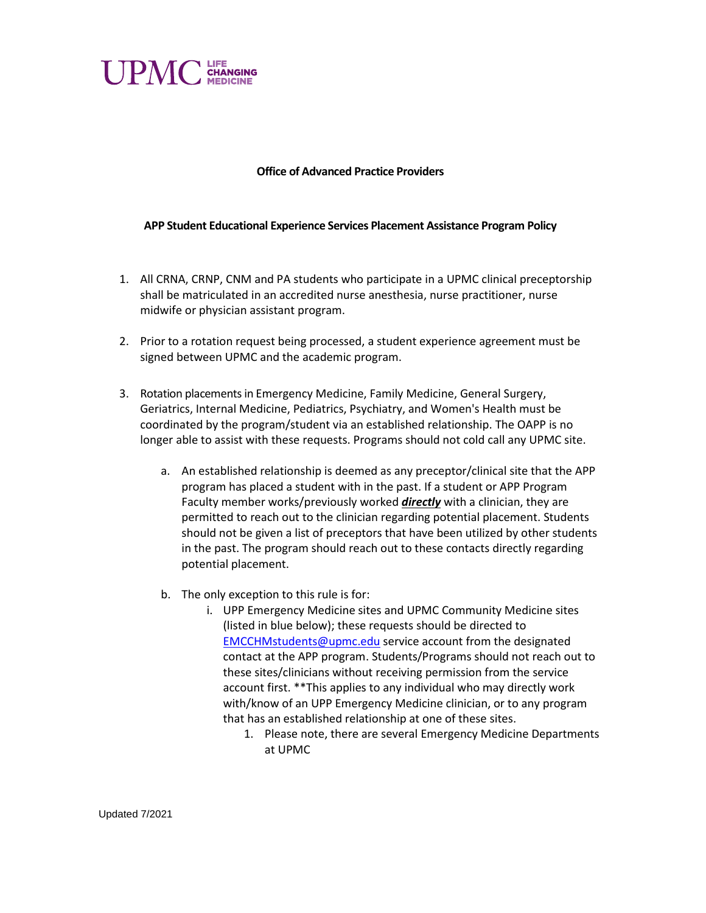

## **Office of Advanced Practice Providers**

## **APP Student Educational Experience Services Placement Assistance Program Policy**

- 1. All CRNA, CRNP, CNM and PA students who participate in a UPMC clinical preceptorship shall be matriculated in an accredited nurse anesthesia, nurse practitioner, nurse midwife or physician assistant program.
- 2. Prior to a rotation request being processed, a student experience agreement must be signed between UPMC and the academic program.
- 3. Rotation placements in Emergency Medicine, Family Medicine, General Surgery, Geriatrics, Internal Medicine, Pediatrics, Psychiatry, and Women's Health must be coordinated by the program/student via an established relationship. The OAPP is no longer able to assist with these requests. Programs should not cold call any UPMC site.
	- a. An established relationship is deemed as any preceptor/clinical site that the APP program has placed a student with in the past. If a student or APP Program Faculty member works/previously worked *directly* with a clinician, they are permitted to reach out to the clinician regarding potential placement. Students should not be given a list of preceptors that have been utilized by other students in the past. The program should reach out to these contacts directly regarding potential placement.
	- b. The only exception to this rule is for:
		- i. UPP Emergency Medicine sites and UPMC Community Medicine sites (listed in blue below); these requests should be directed to [EMCCHMstudents@upmc.edu](mailto:EMCCHMstudents@upmc.edu) service account from the designated contact at the APP program. Students/Programs should not reach out to these sites/clinicians without receiving permission from the service account first. \*\*This applies to any individual who may directly work with/know of an UPP Emergency Medicine clinician, or to any program that has an established relationship at one of these sites.
			- 1. Please note, there are several Emergency Medicine Departments at UPMC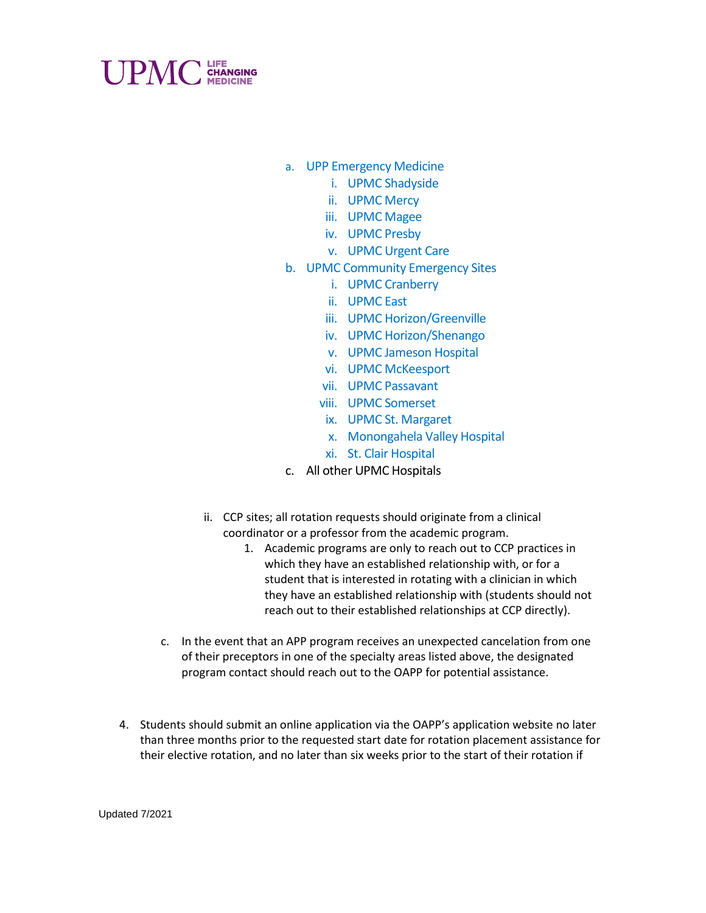

- a. UPP Emergency Medicine
	- i. UPMC Shadyside
	- ii. UPMC Mercy
	- iii. UPMC Magee
	- iv. UPMC Presby
	- v. UPMC Urgent Care
- b. UPMC Community Emergency Sites
	- i. UPMC Cranberry
	- ii. UPMC East
	- iii. UPMC Horizon/Greenville
	- iv. UPMC Horizon/Shenango
	- v. UPMC Jameson Hospital
	- vi. UPMC McKeesport
	- vii. UPMC Passavant
	- viii. UPMC Somerset
	- ix. UPMC St. Margaret
	- x. Monongahela Valley Hospital
	- xi. St. Clair Hospital
- c. All other UPMC Hospitals
- ii. CCP sites; all rotation requests should originate from a clinical coordinator or a professor from the academic program.
	- 1. Academic programs are only to reach out to CCP practices in which they have an established relationship with, or for a student that is interested in rotating with a clinician in which they have an established relationship with (students should not reach out to their established relationships at CCP directly).
- c. In the event that an APP program receives an unexpected cancelation from one of their preceptors in one of the specialty areas listed above, the designated program contact should reach out to the OAPP for potential assistance.
- 4. Students should submit an online application via the OAPP's application website no later than three months prior to the requested start date for rotation placement assistance for their elective rotation, and no later than six weeks prior to the start of their rotation if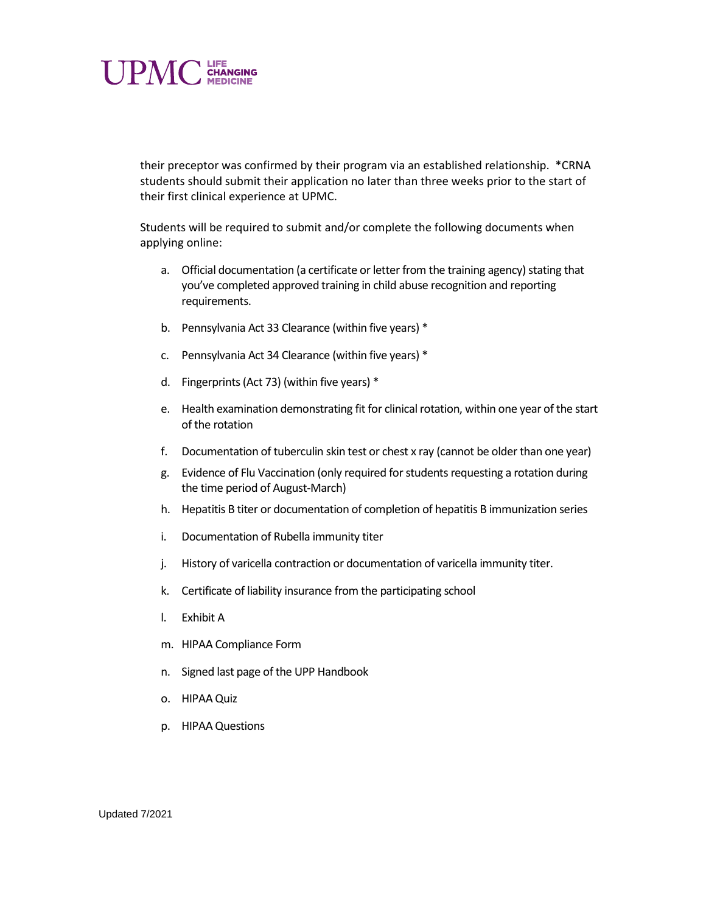

their preceptor was confirmed by their program via an established relationship. \*CRNA students should submit their application no later than three weeks prior to the start of their first clinical experience at UPMC.

Students will be required to submit and/or complete the following documents when applying online:

- a. Official documentation (a certificate or letter from the training agency) stating that you've completed approved training in child abuse recognition and reporting requirements.
- b. Pennsylvania Act 33 Clearance (within five years) \*
- c. Pennsylvania Act 34 Clearance (within five years) \*
- d. Fingerprints (Act 73) (within five years) \*
- e. Health examination demonstrating fit for clinical rotation, within one year of the start of the rotation
- f. Documentation of tuberculin skin test or chest x ray (cannot be older than one year)
- g. Evidence of Flu Vaccination (only required for students requesting a rotation during the time period of August-March)
- h. Hepatitis B titer or documentation of completion of hepatitis B immunization series
- i. Documentation of Rubella immunity titer
- j. History of varicella contraction or documentation of varicella immunity titer.
- k. Certificate of liability insurance from the participating school
- l. Exhibit A
- m. HIPAA Compliance Form
- n. Signed last page of the UPP Handbook
- o. HIPAA Quiz
- p. HIPAA Questions

Updated 7/2021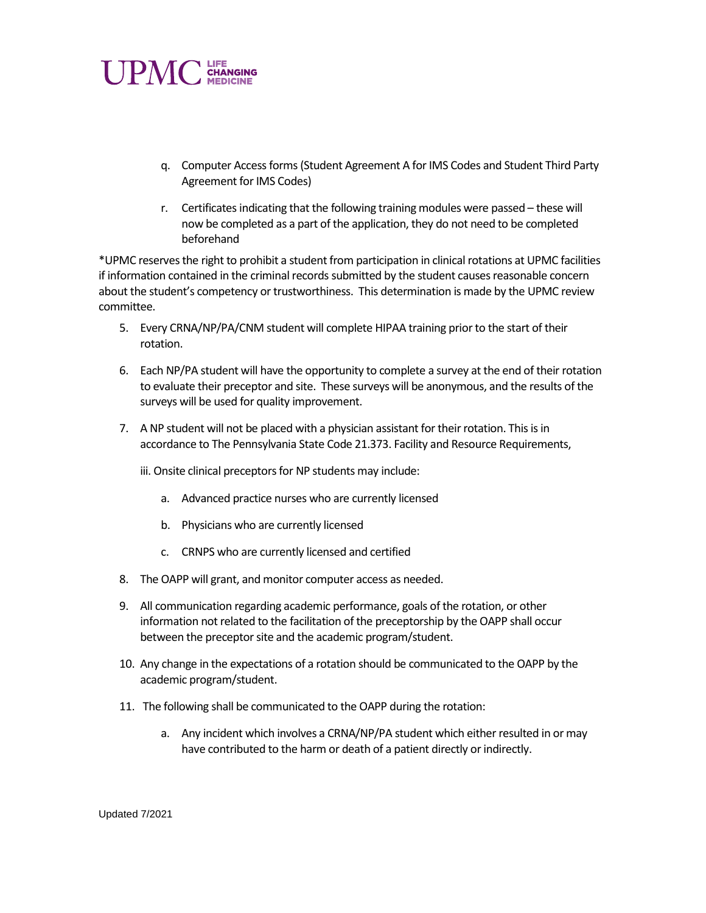

- q. Computer Access forms(Student Agreement A for IMS Codes and Student Third Party Agreement for IMS Codes)
- r. Certificates indicating that the following training modules were passed these will now be completed as a part of the application, they do not need to be completed beforehand

\*UPMC reserves the right to prohibit a student from participation in clinical rotations at UPMC facilities if information contained in the criminal records submitted by the student causes reasonable concern about the student's competency or trustworthiness. This determination is made by the UPMC review committee.

- 5. Every CRNA/NP/PA/CNM student will complete HIPAA training prior to the start of their rotation.
- 6. Each NP/PA student will have the opportunity to complete a survey at the end of their rotation to evaluate their preceptor and site. These surveys will be anonymous, and the results of the surveys will be used for quality improvement.
- 7. A NP student will not be placed with a physician assistant for their rotation. This is in accordance to The Pennsylvania State Code 21.373. Facility and Resource Requirements,

iii. Onsite clinical preceptors for NP students may include:

- a. Advanced practice nurses who are currently licensed
- b. Physicians who are currently licensed
- c. CRNPS who are currently licensed and certified
- 8. The OAPP will grant, and monitor computer access as needed.
- 9. All communication regarding academic performance, goals of the rotation, or other information not related to the facilitation of the preceptorship by the OAPP shall occur between the preceptor site and the academic program/student.
- 10. Any change in the expectations of a rotation should be communicated to the OAPP by the academic program/student.
- 11. The following shall be communicated to the OAPP during the rotation:
	- a. Any incident which involves a CRNA/NP/PA student which either resulted in or may have contributed to the harm or death of a patient directly or indirectly.